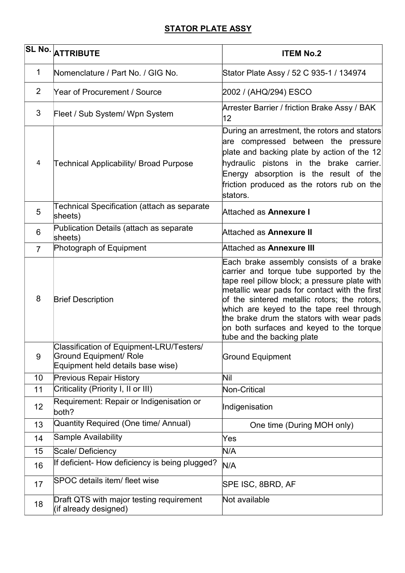## **STATOR PLATE ASSY**

|                | SL No. ATTRIBUTE                                                                                               | <b>ITEM No.2</b>                                                                                                                                                                                                                                                                                                                                                                                         |
|----------------|----------------------------------------------------------------------------------------------------------------|----------------------------------------------------------------------------------------------------------------------------------------------------------------------------------------------------------------------------------------------------------------------------------------------------------------------------------------------------------------------------------------------------------|
| 1              | Nomenclature / Part No. / GIG No.                                                                              | Stator Plate Assy / 52 C 935-1 / 134974                                                                                                                                                                                                                                                                                                                                                                  |
| 2              | <b>Year of Procurement / Source</b>                                                                            | 2002 / (AHQ/294) ESCO                                                                                                                                                                                                                                                                                                                                                                                    |
| 3              | Fleet / Sub System/ Wpn System                                                                                 | Arrester Barrier / friction Brake Assy / BAK<br>12                                                                                                                                                                                                                                                                                                                                                       |
| 4              | Technical Applicability/ Broad Purpose                                                                         | During an arrestment, the rotors and stators<br>are compressed between the pressure<br>plate and backing plate by action of the 12<br>hydraulic pistons in the brake carrier.<br>Energy absorption is the result of the<br>friction produced as the rotors rub on the<br>stators.                                                                                                                        |
| 5              | Technical Specification (attach as separate<br>sheets)                                                         | Attached as <b>Annexure I</b>                                                                                                                                                                                                                                                                                                                                                                            |
| 6              | Publication Details (attach as separate<br>sheets)                                                             | Attached as Annexure II                                                                                                                                                                                                                                                                                                                                                                                  |
| $\overline{7}$ | Photograph of Equipment                                                                                        | Attached as Annexure III                                                                                                                                                                                                                                                                                                                                                                                 |
| 8              | <b>Brief Description</b>                                                                                       | Each brake assembly consists of a brake<br>carrier and torque tube supported by the<br>tape reel pillow block; a pressure plate with<br>metallic wear pads for contact with the first<br>of the sintered metallic rotors; the rotors,<br>which are keyed to the tape reel through<br>the brake drum the stators with wear pads<br>on both surfaces and keyed to the torque<br>tube and the backing plate |
| 9              | Classification of Equipment-LRU/Testers/<br><b>Ground Equipment/ Role</b><br>Equipment held details base wise) | <b>Ground Equipment</b>                                                                                                                                                                                                                                                                                                                                                                                  |
| 10             | <b>Previous Repair History</b>                                                                                 | Nil                                                                                                                                                                                                                                                                                                                                                                                                      |
| 11             | Criticality (Priority I, II or III)                                                                            | Non-Critical                                                                                                                                                                                                                                                                                                                                                                                             |
| 12             | Requirement: Repair or Indigenisation or<br>both?                                                              | Indigenisation                                                                                                                                                                                                                                                                                                                                                                                           |
| 13             | Quantity Required (One time/ Annual)                                                                           | One time (During MOH only)                                                                                                                                                                                                                                                                                                                                                                               |
| 14             | <b>Sample Availability</b>                                                                                     | Yes                                                                                                                                                                                                                                                                                                                                                                                                      |
| 15             | Scale/ Deficiency                                                                                              | N/A                                                                                                                                                                                                                                                                                                                                                                                                      |
| 16             | If deficient- How deficiency is being plugged?                                                                 | N/A                                                                                                                                                                                                                                                                                                                                                                                                      |
| 17             | <b>SPOC</b> details item/ fleet wise                                                                           | SPE ISC, 8BRD, AF                                                                                                                                                                                                                                                                                                                                                                                        |
| 18             | Draft QTS with major testing requirement<br>(if already designed)                                              | Not available                                                                                                                                                                                                                                                                                                                                                                                            |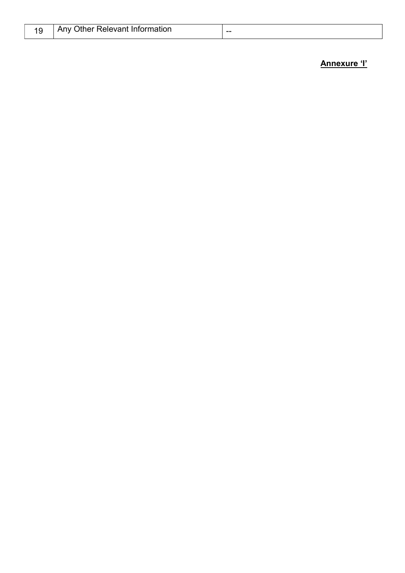|  | Any Other Relevant Information | -- |
|--|--------------------------------|----|
|--|--------------------------------|----|

Annexure 'l'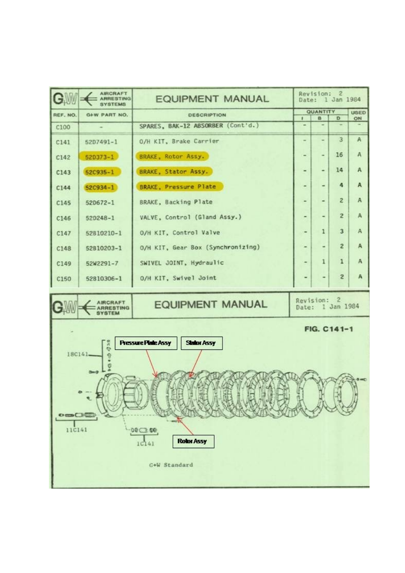| $\mathbf{G}$ | <b>AIRCRAFT</b><br><b>ARRESTING</b>                                                                                | <b>EQUIPMENT MANUAL</b>           |                          | Revision: 2<br>Date: 1 Jan 1984 |                |              |  |
|--------------|--------------------------------------------------------------------------------------------------------------------|-----------------------------------|--------------------------|---------------------------------|----------------|--------------|--|
| REF. NO.     | G+W PART NO.                                                                                                       | <b>DESCRIPTION</b>                |                          | <b>QUANTITY</b><br>B<br>D       |                |              |  |
| C100         |                                                                                                                    | SPARES, BAK-12 ABSORBER (Cont'd.) |                          |                                 |                | ON           |  |
| C141         | 5207491-1                                                                                                          | O/H KIT, Brake Carrier            | $\overline{a}$           | -                               | 3              | $\mathbf{A}$ |  |
| C142         | $52D373 - 1$                                                                                                       | <b>BRAKE, Rotor Assy.</b>         |                          | ۰                               | 16             | A            |  |
| C143         | 52C935-1                                                                                                           | BRAKE, Stator Assy.               | ۰                        | ٠                               | 14             | A            |  |
| C144         | $52C934 - 1$                                                                                                       | <b>BRAKE, Pressure Plate</b>      | ۰                        | $\overline{\phantom{a}}$        | 4              | $\mathbf{A}$ |  |
| C145         | 520672-1                                                                                                           | BRAKE, Backing Plate              | $\overline{\phantom{a}}$ | $\overline{\phantom{a}}$        | $\overline{z}$ | $\mathbb{A}$ |  |
| C146         | $520248 - 1$                                                                                                       | VALVE, Control (Gland Assy.)      | ۰                        |                                 | $\overline{2}$ | A            |  |
| C147         | 52810210-1                                                                                                         | O/H KIT, Control Valve            |                          | $\mathbf{1}$                    | $\overline{3}$ | A            |  |
| C148         | 52810203-1                                                                                                         | O/H KIT, Gear Box (Synchronizing) |                          | $\overline{\phantom{0}}$        | $\overline{2}$ | A            |  |
| C149         | 52W2291-7                                                                                                          | SWIVEL JOINT, Hydraulic           | ۰                        | 1                               | $\mathbf{1}$   | A            |  |
| C150         | 52810306-1                                                                                                         | O/H KIT, Swivel Joint             |                          |                                 | $\overline{2}$ | А            |  |
|              | Revision: 2<br><b>AIRCRAFT</b><br><b>EQUIPMENT MANUAL</b><br>Date: 1 Jan 1984<br><b>ARRESTING</b><br><b>SYSTEM</b> |                                   |                          |                                 |                |              |  |
| FIG. C141-1  |                                                                                                                    |                                   |                          |                                 |                |              |  |

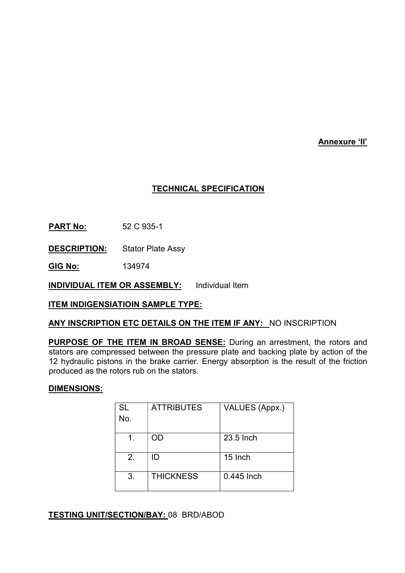Annexure 'II'

### TECHNICAL SPECIFICATION

**PART No:** 52 C 935-1

DESCRIPTION: Stator Plate Assy

GIG No: 134974

**INDIVIDUAL ITEM OR ASSEMBLY:** Individual Item

ITEM INDIGENSIATIOIN SAMPLE TYPE:

#### ANY INSCRIPTION ETC DETAILS ON THE ITEM IF ANY: NO INSCRIPTION

PURPOSE OF THE ITEM IN BROAD SENSE: During an arrestment, the rotors and stators are compressed between the pressure plate and backing plate by action of the 12 hydraulic pistons in the brake carrier. Energy absorption is the result of the friction produced as the rotors rub on the stators.

#### DIMENSIONS:

| <b>SL</b><br>No. | <b>ATTRIBUTES</b> | VALUES (Appx.) |
|------------------|-------------------|----------------|
|                  | OD                | 23.5 Inch      |
| 2.               | ID                | 15 Inch        |
| 3.               | <b>THICKNESS</b>  | 0.445 Inch     |

#### **TESTING UNIT/SECTION/BAY: 08 BRD/ABOD**